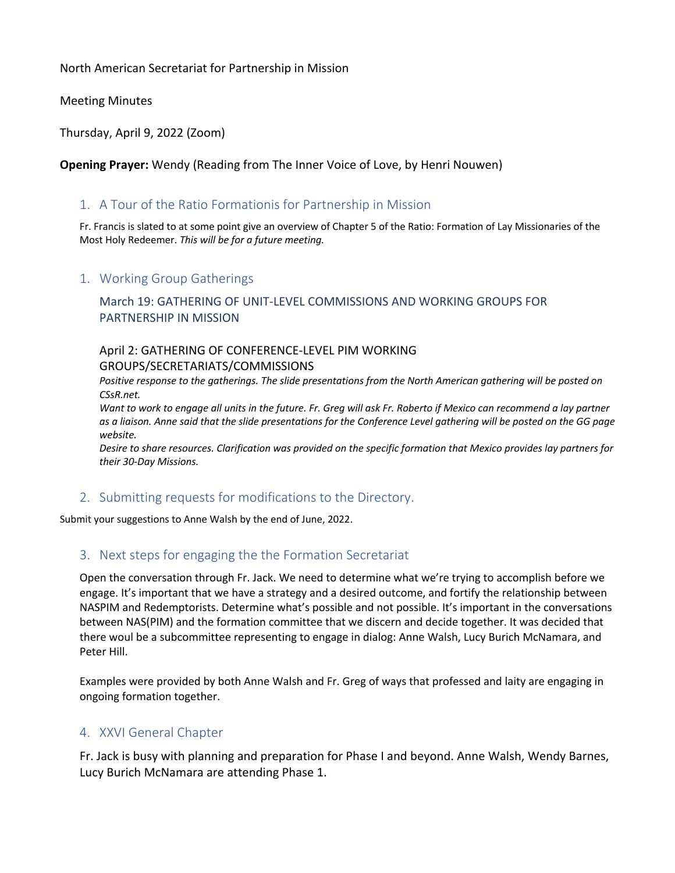North American Secretariat for Partnership in Mission

Meeting Minutes

Thursday, April 9, 2022 (Zoom)

**Opening Prayer:** Wendy (Reading from The Inner Voice of Love, by Henri Nouwen)

## 1. A Tour of the Ratio Formationis for Partnership in Mission

Fr. Francis is slated to at some point give an overview of Chapter 5 of the Ratio: Formation of Lay Missionaries of the Most Holy Redeemer. *This will be for a future meeting.*

### 1. Working Group Gatherings

## March 19: GATHERING OF UNIT-LEVEL COMMISSIONS AND WORKING GROUPS FOR PARTNERSHIP IN MISSION

### April 2: GATHERING OF CONFERENCE-LEVEL PIM WORKING GROUPS/SECRETARIATS/COMMISSIONS

Positive response to the gatherings. The slide presentations from the North American gathering will be posted on *CSsR.net.*

*Want to work to engage all units in the future. Fr. Greg will ask Fr. Roberto if Mexico can recommend a lay partner as a liaison. Anne said that the slide presentations for the Conference Level gathering will be posted on the GG page website.*

*Desire to share resources. Clarification was provided on the specific formation that Mexico provides lay partners for their 30-Day Missions.*

# 2. Submitting requests for modifications to the Directory.

Submit your suggestions to Anne Walsh by the end of June, 2022.

### 3. Next steps for engaging the the Formation Secretariat

Open the conversation through Fr. Jack. We need to determine what we're trying to accomplish before we engage. It's important that we have a strategy and a desired outcome, and fortify the relationship between NASPIM and Redemptorists. Determine what's possible and not possible. It's important in the conversations between NAS(PIM) and the formation committee that we discern and decide together. It was decided that there woul be a subcommittee representing to engage in dialog: Anne Walsh, Lucy Burich McNamara, and Peter Hill.

Examples were provided by both Anne Walsh and Fr. Greg of ways that professed and laity are engaging in ongoing formation together.

### 4. XXVI General Chapter

Fr. Jack is busy with planning and preparation for Phase I and beyond. Anne Walsh, Wendy Barnes, Lucy Burich McNamara are attending Phase 1.